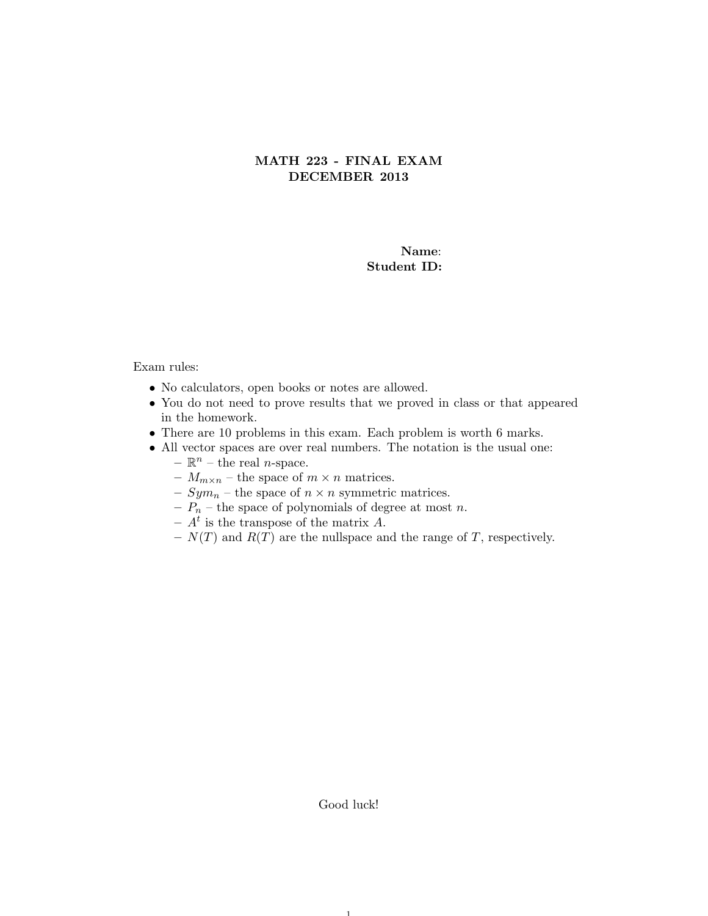## MATH 223 - FINAL EXAM DECEMBER 2013

## Name: Student ID:

## Exam rules:

- No calculators, open books or notes are allowed.
- You do not need to prove results that we proved in class or that appeared in the homework.
- There are 10 problems in this exam. Each problem is worth 6 marks.
- All vector spaces are over real numbers. The notation is the usual one:
	- $\mathbb{R}^n$  the real *n*-space.
	- $M_{m \times n}$  the space of  $m \times n$  matrices.
	- $Sym_n$  the space of  $n \times n$  symmetric matrices.
	- $P_n$  the space of polynomials of degree at most n.
	- $A^t$  is the transpose of the matrix A.
	- $N(T)$  and  $R(T)$  are the nullspace and the range of T, respectively.

Good luck!

1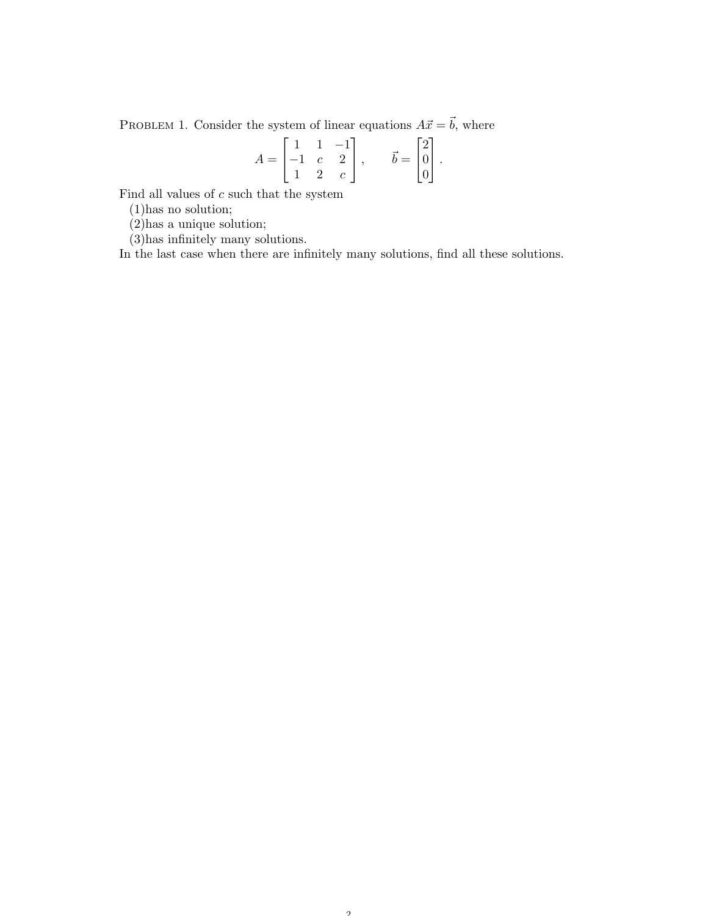PROBLEM 1. Consider the system of linear equations  $A\vec{x} = \vec{b}$ , where

$$
A = \begin{bmatrix} 1 & 1 & -1 \\ -1 & c & 2 \\ 1 & 2 & c \end{bmatrix}, \quad \vec{b} = \begin{bmatrix} 2 \\ 0 \\ 0 \end{bmatrix}.
$$

Find all values of  $\boldsymbol{c}$  such that the system

(1)has no solution;

(2)has a unique solution;

(3)has infinitely many solutions.

In the last case when there are infinitely many solutions, find all these solutions.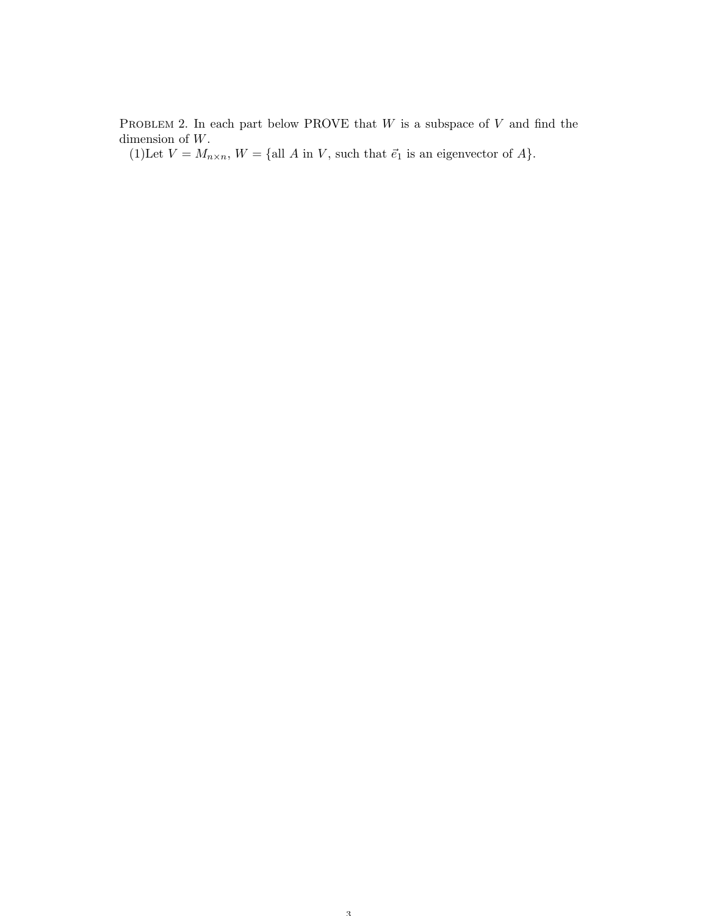PROBLEM 2. In each part below PROVE that  $W$  is a subspace of  $V$  and find the dimension of W.

(1)Let  $V = M_{n \times n}$ ,  $W = \{$ all A in V, such that  $\vec{e}_1$  is an eigenvector of A}.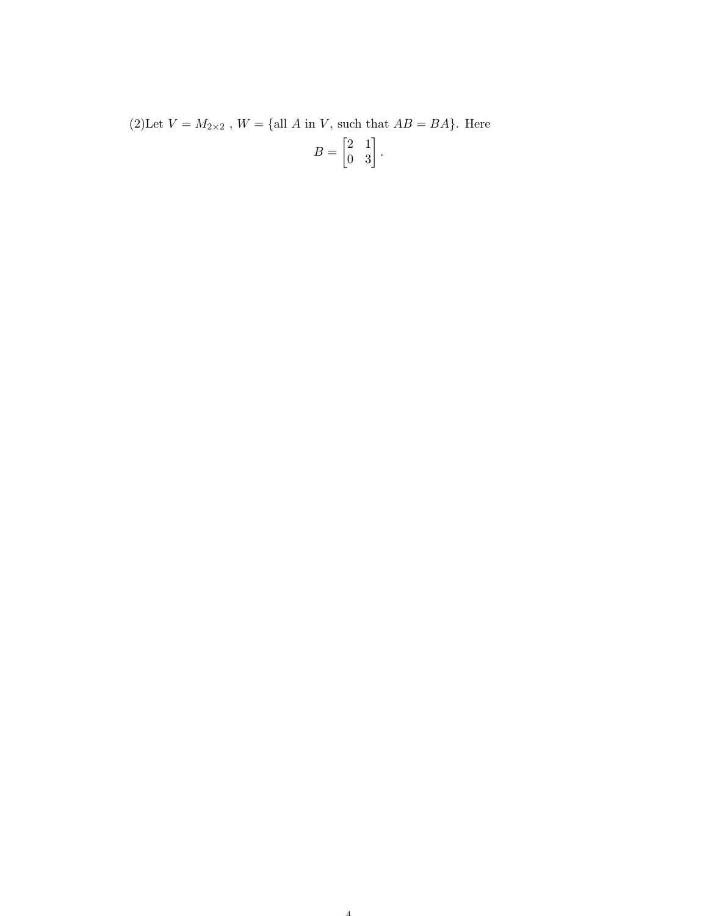(2)<br>Let  $V = M_{2 \times 2}$  ,  $W = \{ {\rm all} \ A \ {\rm in} \ V,$  such that<br>  $AB = BA \}.$  Here  $B = \begin{bmatrix} 2 & 1 \\ 0 & 3 \end{bmatrix}.$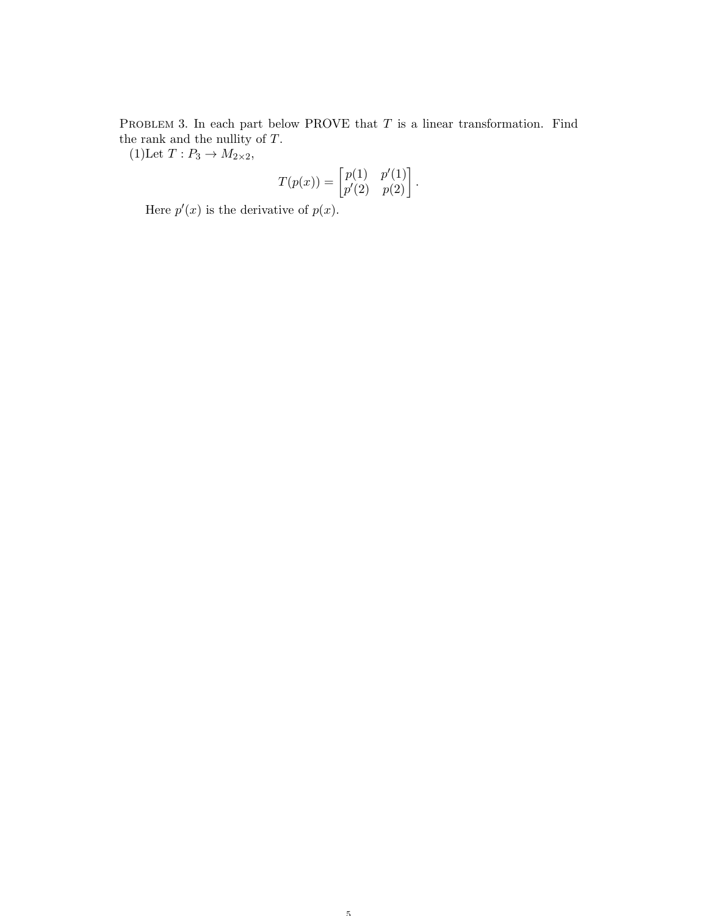PROBLEM 3. In each part below PROVE that  $T$  is a linear transformation. Find the rank and the nullity of  $\cal{T}.$ 

(1)Let  $T: P_3 \to M_{2\times 2}$ ,

$$
T(p(x)) = \begin{bmatrix} p(1) & p'(1) \\ p'(2) & p(2) \end{bmatrix}.
$$

Here  $p'(x)$  is the derivative of  $p(x)$ .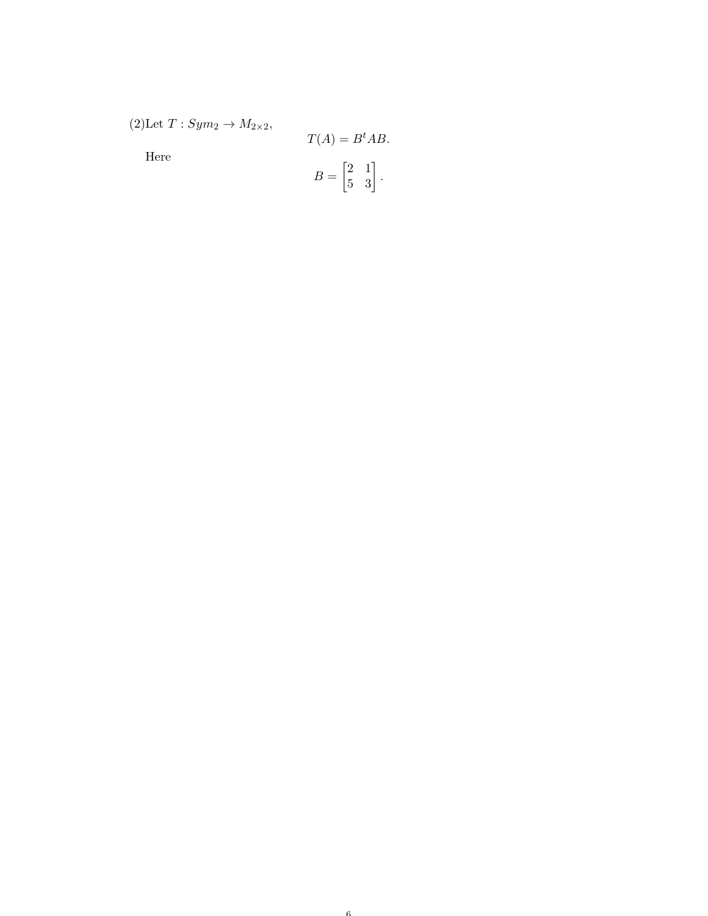(2)Let  $T:Sym_2 \rightarrow M_{2\times 2}$ ,

Here

$$
T(A) = Bt AB.
$$

$$
B = \begin{bmatrix} 2 & 1 \\ 5 & 3 \end{bmatrix}.
$$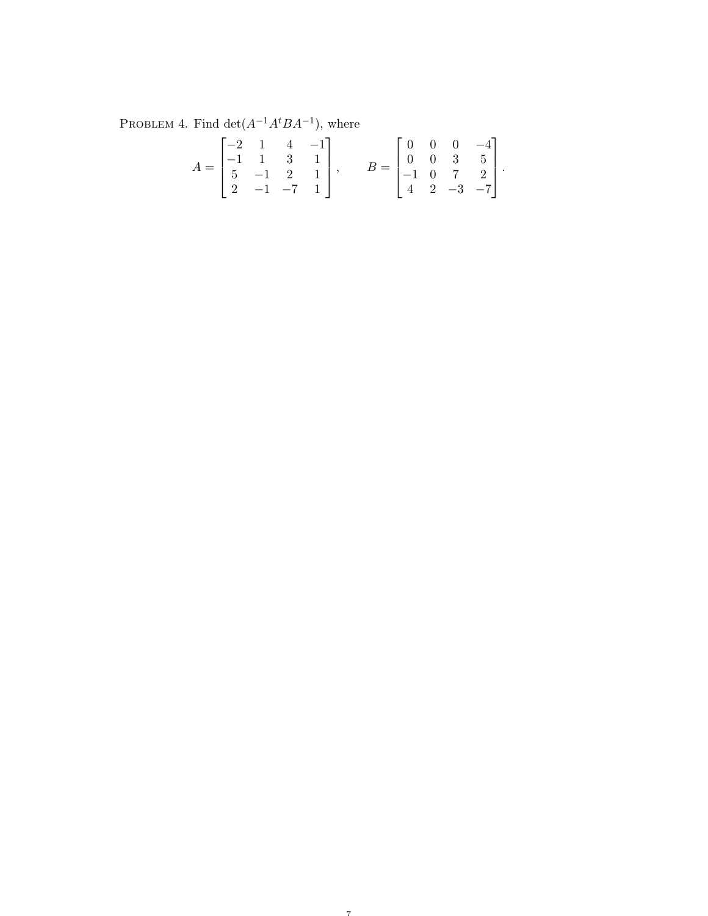PROBLEM 4. Find  $\det(A^{-1}A^{t}BA^{-1})$ , where

$$
A = \begin{bmatrix} -2 & 1 & 4 & -1 \\ -1 & 1 & 3 & 1 \\ 5 & -1 & 2 & 1 \\ 2 & -1 & -7 & 1 \end{bmatrix}, \qquad B = \begin{bmatrix} 0 & 0 & 0 & -4 \\ 0 & 0 & 3 & 5 \\ -1 & 0 & 7 & 2 \\ 4 & 2 & -3 & -7 \end{bmatrix}.
$$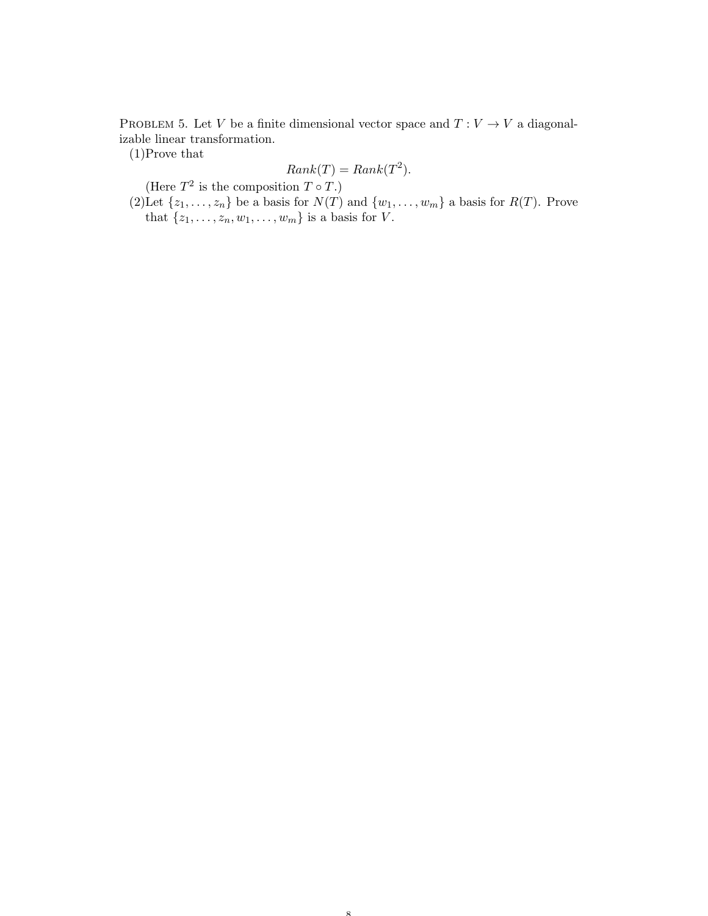PROBLEM 5. Let V be a finite dimensional vector space and  $T: V \to V$  a diagonalizable linear transformation.

(1)Prove that

$$
Rank(T) = Rank(T^2).
$$

(Here  $T^2$  is the composition  $T \circ T$ .)

(2)Let  $\{z_1, \ldots, z_n\}$  be a basis for  $N(T)$  and  $\{w_1, \ldots, w_m\}$  a basis for  $R(T)$ . Prove that  $\{z_1, \ldots, z_n, w_1, \ldots, w_m\}$  is a basis for V.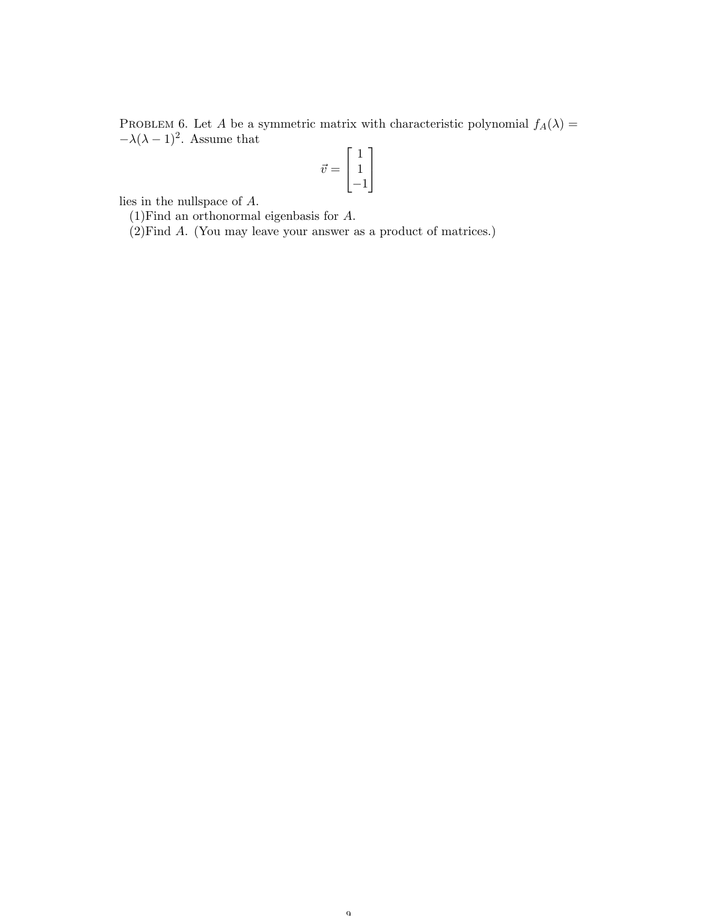PROBLEM 6. Let A be a symmetric matrix with characteristic polynomial  $f_A(\lambda) =$  $-\lambda(\lambda-1)^2$ . Assume that  $\overline{1}$ 

$$
\vec{v} = \begin{bmatrix} 1 \\ 1 \\ -1 \end{bmatrix}
$$

lies in the nullspace of A.

(1)Find an orthonormal eigenbasis for A.

(2)Find A. (You may leave your answer as a product of matrices.)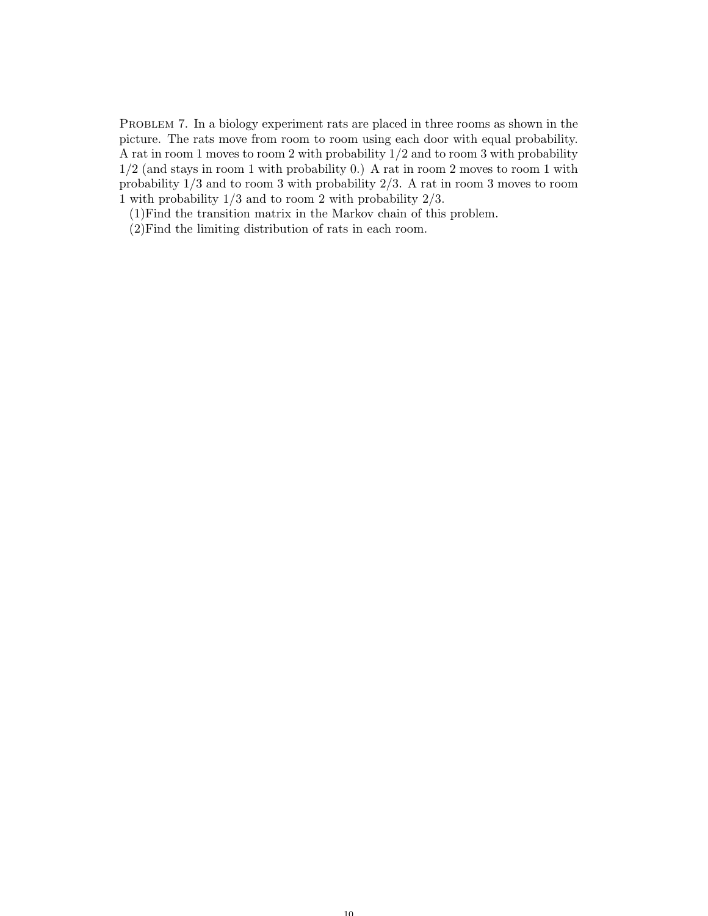PROBLEM 7. In a biology experiment rats are placed in three rooms as shown in the picture. The rats move from room to room using each door with equal probability. A rat in room 1 moves to room 2 with probability 1/2 and to room 3 with probability 1/2 (and stays in room 1 with probability 0.) A rat in room 2 moves to room 1 with probability 1/3 and to room 3 with probability 2/3. A rat in room 3 moves to room 1 with probability 1/3 and to room 2 with probability 2/3.

(1)Find the transition matrix in the Markov chain of this problem.

(2)Find the limiting distribution of rats in each room.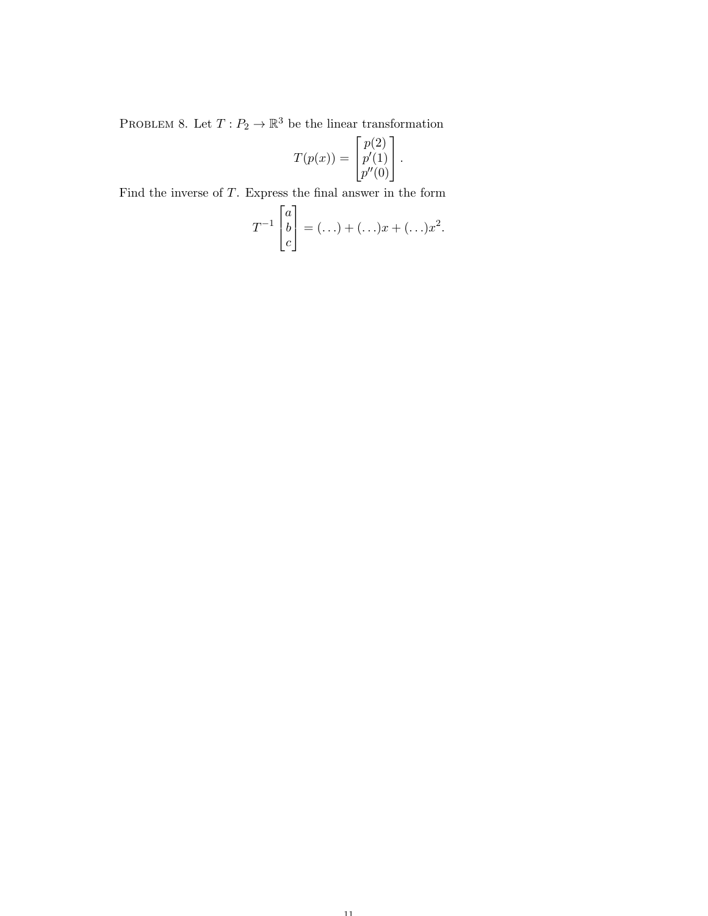PROBLEM 8. Let  $T: P_2 \to \mathbb{R}^3$  be the linear transformation

$$
T(p(x)) = \begin{bmatrix} p(2) \\ p'(1) \\ p''(0) \end{bmatrix}.
$$

Find the inverse of  $T$ . Express the final answer in the form

$$
T^{-1}\begin{bmatrix}a\\b\\c\end{bmatrix}=(\ldots)+(\ldots)x+(\ldots)x^2.
$$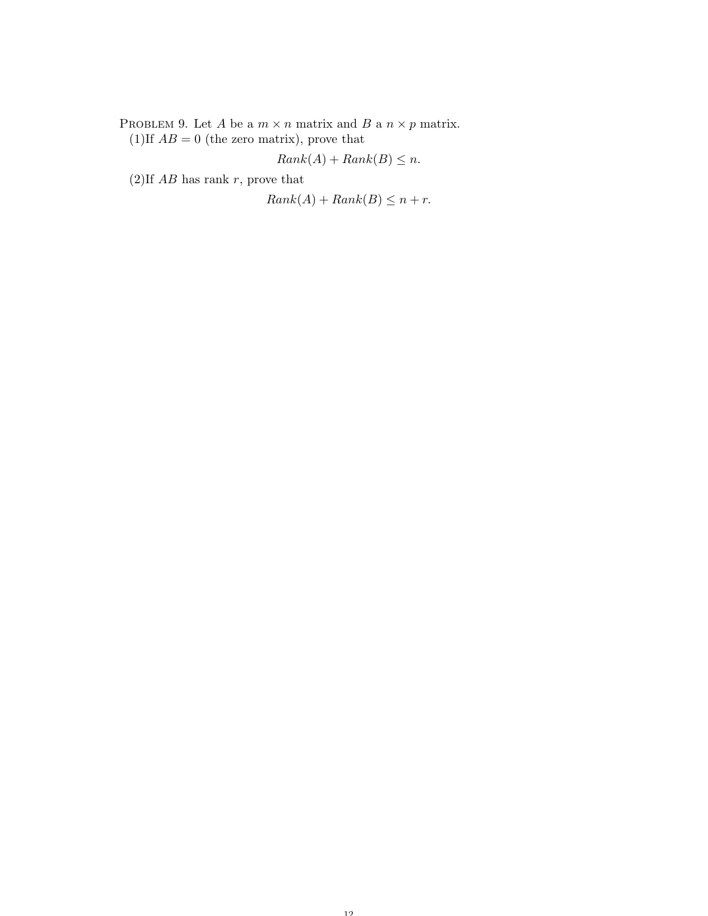PROBLEM 9. Let  $A$  be a  $m\times n$  matrix and  $B$  a  $n\times p$  matrix. (1)If  $AB = 0$  (the zero matrix), prove that

$$
Rank(A) + Rank(B) \le n.
$$

(2)If  $AB$  has rank r, prove that

 $Rank(A) + Rank(B) \leq n + r.$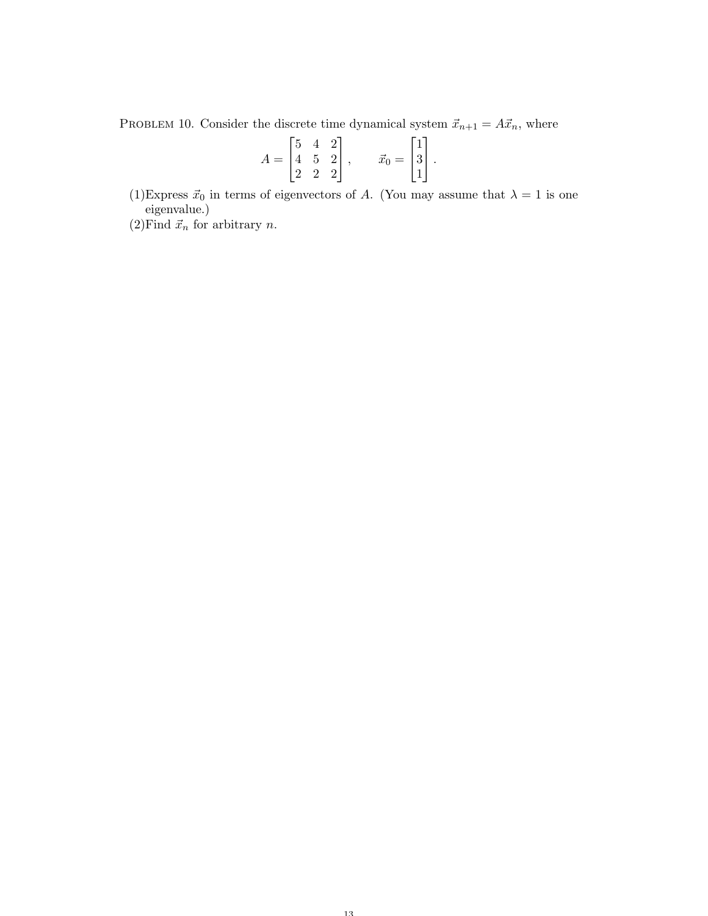PROBLEM 10. Consider the discrete time dynamical system  $\vec{x}_{n+1} = A\vec{x}_n$ , where

$$
A = \begin{bmatrix} 5 & 4 & 2 \\ 4 & 5 & 2 \\ 2 & 2 & 2 \end{bmatrix}, \qquad \vec{x}_0 = \begin{bmatrix} 1 \\ 3 \\ 1 \end{bmatrix}.
$$

(1)Express  $\vec{x}_0$  in terms of eigenvectors of A. (You may assume that  $\lambda = 1$  is one eigenvalue.)

(2) Find  $\vec{x}_n$  for arbitrary *n*.